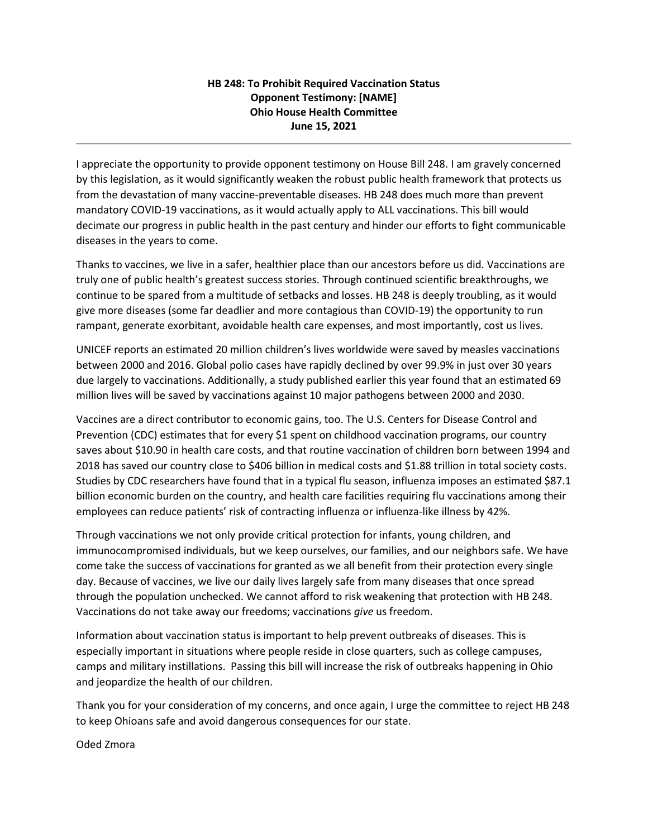## **HB 248: To Prohibit Required Vaccination Status Opponent Testimony: [NAME] Ohio House Health Committee June 15, 2021**

I appreciate the opportunity to provide opponent testimony on House Bill 248. I am gravely concerned by this legislation, as it would significantly weaken the robust public health framework that protects us from the devastation of many vaccine-preventable diseases. HB 248 does much more than prevent mandatory COVID-19 vaccinations, as it would actually apply to ALL vaccinations. This bill would decimate our progress in public health in the past century and hinder our efforts to fight communicable diseases in the years to come.

Thanks to vaccines, we live in a safer, healthier place than our ancestors before us did. Vaccinations are truly one of public health's greatest success stories. Through continued scientific breakthroughs, we continue to be spared from a multitude of setbacks and losses. HB 248 is deeply troubling, as it would give more diseases (some far deadlier and more contagious than COVID-19) the opportunity to run rampant, generate exorbitant, avoidable health care expenses, and most importantly, cost us lives.

UNICEF reports an estimated 20 million children's lives worldwide were saved by measles vaccinations between 2000 and 2016. Global polio cases have rapidly declined by over 99.9% in just over 30 years due largely to vaccinations. Additionally, a study published earlier this year found that an estimated 69 million lives will be saved by vaccinations against 10 major pathogens between 2000 and 2030.

Vaccines are a direct contributor to economic gains, too. The U.S. Centers for Disease Control and Prevention (CDC) estimates that for every \$1 spent on childhood vaccination programs, our country saves about \$10.90 in health care costs, and that routine vaccination of children born between 1994 and 2018 has saved our country close to \$406 billion in medical costs and \$1.88 trillion in total society costs. Studies by CDC researchers have found that in a typical flu season, influenza imposes an estimated \$87.1 billion economic burden on the country, and health care facilities requiring flu vaccinations among their employees can reduce patients' risk of contracting influenza or influenza-like illness by 42%.

Through vaccinations we not only provide critical protection for infants, young children, and immunocompromised individuals, but we keep ourselves, our families, and our neighbors safe. We have come take the success of vaccinations for granted as we all benefit from their protection every single day. Because of vaccines, we live our daily lives largely safe from many diseases that once spread through the population unchecked. We cannot afford to risk weakening that protection with HB 248. Vaccinations do not take away our freedoms; vaccinations *give* us freedom.

Information about vaccination status is important to help prevent outbreaks of diseases. This is especially important in situations where people reside in close quarters, such as college campuses, camps and military instillations. Passing this bill will increase the risk of outbreaks happening in Ohio and jeopardize the health of our children.

Thank you for your consideration of my concerns, and once again, I urge the committee to reject HB 248 to keep Ohioans safe and avoid dangerous consequences for our state.

Oded Zmora